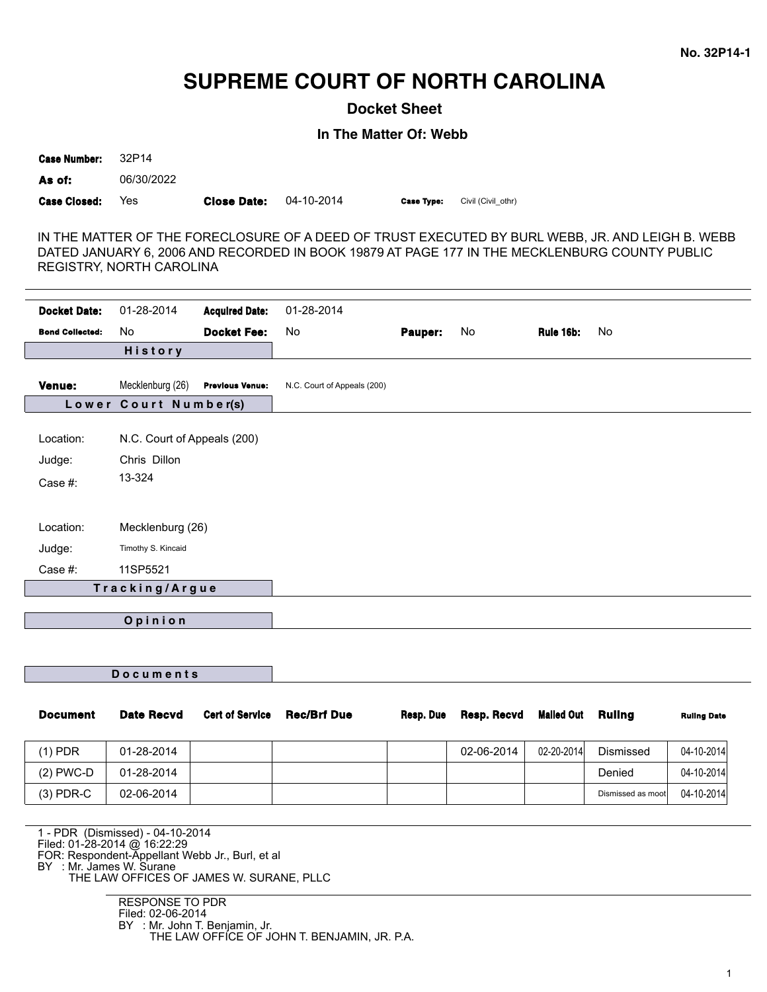# **SUPREME COURT OF NORTH CAROLINA**

**Docket Sheet**

**In The Matter Of: Webb**

**Case Number:** 32P14 **As of:** 06/30/2022 **Case Closed:** Yes **Close Date:** 04-10-2014 **Case Type:** Civil (Civil\_othr)

IN THE MATTER OF THE FORECLOSURE OF A DEED OF TRUST EXECUTED BY BURL WEBB, JR. AND LEIGH B. WEBB DATED JANUARY 6, 2006 AND RECORDED IN BOOK 19879 AT PAGE 177 IN THE MECKLENBURG COUNTY PUBLIC REGISTRY, NORTH CAROLINA

| <b>Docket Date:</b>    | 01-28-2014                  | <b>Acquired Date:</b>  | 01-28-2014                  |         |    |           |    |
|------------------------|-----------------------------|------------------------|-----------------------------|---------|----|-----------|----|
| <b>Bond Collected:</b> | No                          | <b>Docket Fee:</b>     | No                          | Pauper: | No | Rule 16b: | No |
|                        | <b>History</b>              |                        |                             |         |    |           |    |
| <b>Venue:</b>          | Mecklenburg (26)            | <b>Previous Venue:</b> | N.C. Court of Appeals (200) |         |    |           |    |
|                        | Lower Court Number(s)       |                        |                             |         |    |           |    |
|                        |                             |                        |                             |         |    |           |    |
| Location:              | N.C. Court of Appeals (200) |                        |                             |         |    |           |    |
| Judge:                 | Chris Dillon                |                        |                             |         |    |           |    |
| Case #:                | 13-324                      |                        |                             |         |    |           |    |
|                        |                             |                        |                             |         |    |           |    |
| Location:              | Mecklenburg (26)            |                        |                             |         |    |           |    |
| Judge:                 | Timothy S. Kincaid          |                        |                             |         |    |           |    |
| Case #:                | 11SP5521                    |                        |                             |         |    |           |    |
|                        | Tracking/Argue              |                        |                             |         |    |           |    |
|                        |                             |                        |                             |         |    |           |    |
|                        | Opinion                     |                        |                             |         |    |           |    |

|  |  | <b>Documents</b> |  |  |  |
|--|--|------------------|--|--|--|
|  |  |                  |  |  |  |

| <b>Document</b> | <b>Date Recvd</b> | <b>Cert of Service</b> | <b>Rec/Brf Due</b> | Resp. Due | Resp. Recvd | <b>Mailed Out</b> | Rulina            | <b>Ruling Date</b> |
|-----------------|-------------------|------------------------|--------------------|-----------|-------------|-------------------|-------------------|--------------------|
| $(1)$ PDR       | 01-28-2014        |                        |                    |           | 02-06-2014  | 02-20-2014        | <b>Dismissed</b>  | 04-10-2014         |
| $(2)$ PWC-D     | 01-28-2014        |                        |                    |           |             |                   | Denied            | 04-10-2014         |
| $(3)$ PDR-C     | 02-06-2014        |                        |                    |           |             |                   | Dismissed as moot | 04-10-2014         |

1 - PDR (Dismissed) - 04-10-2014 Filed: 01-28-2014 @ 16:22:29 FOR: Respondent-Appellant Webb Jr., Burl, et al BY : Mr. James W. Surane

THE LAW OFFICES OF JAMES W. SURANE, PLLC

RESPONSE TO PDR Filed: 02-06-2014 BY : Mr. John T. Benjamin, Jr. THE LAW OFFICE OF JOHN T. BENJAMIN, JR. P.A.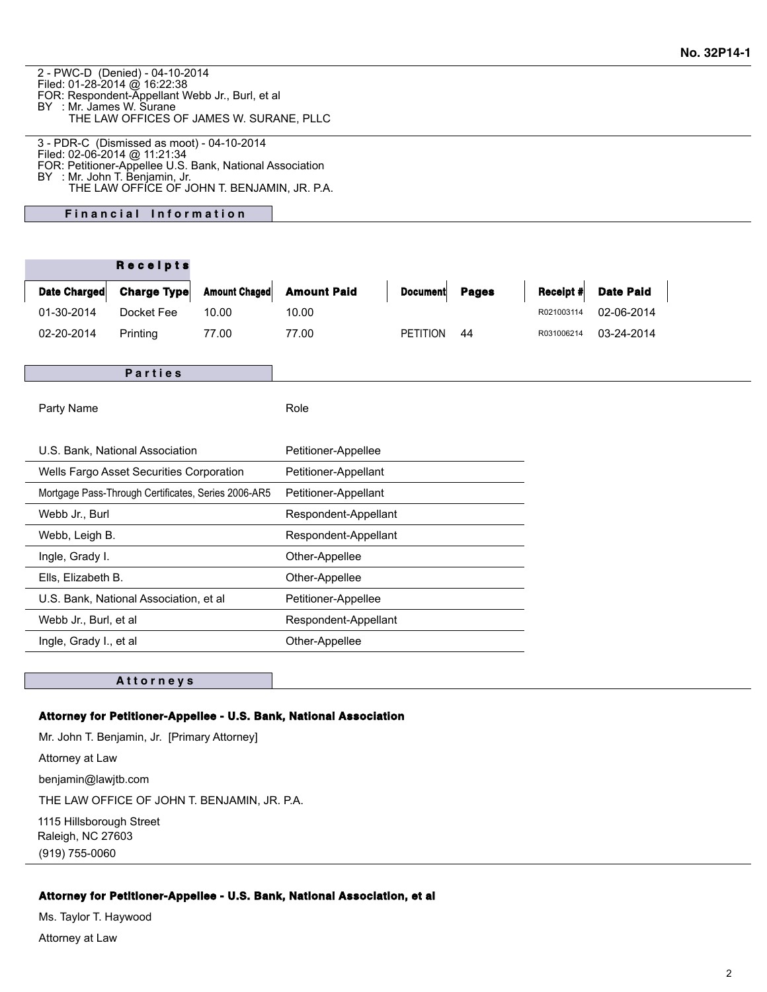2 - PWC-D (Denied) - 04-10-2014 Filed: 01-28-2014 @ 16:22:38 FOR: Respondent-Appellant Webb Jr., Burl, et al BY : Mr. James W. Surane THE LAW OFFICES OF JAMES W. SURANE, PLLC

3 - PDR-C (Dismissed as moot) - 04-10-2014 Filed: 02-06-2014 @ 11:21:34 FOR: Petitioner-Appellee U.S. Bank, National Association BY : Mr. John T. Benjamin, Jr. THE LAW OFFICE OF JOHN T. BENJAMIN, JR. P.A.

**Financial Information** 

| <b>Amount Chaged</b><br><b>Amount Paid</b><br>Date Charged<br>Charge Type<br><b>Date Paid</b><br>Receipt #<br><b>Document</b><br><b>Pages</b><br>01-30-2014<br>Docket Fee<br>10.00<br>02-06-2014<br>10.00<br>R021003114<br>02-20-2014<br>77.00<br><b>PETITION</b><br>03-24-2014<br>Printing<br>77.00<br>44<br>R031006214<br>Parties<br>Role<br>Party Name<br>U.S. Bank, National Association<br>Petitioner-Appellee<br>Wells Fargo Asset Securities Corporation<br>Petitioner-Appellant<br>Mortgage Pass-Through Certificates, Series 2006-AR5<br>Petitioner-Appellant<br>Webb Jr., Burl<br>Respondent-Appellant<br>Webb, Leigh B.<br>Respondent-Appellant<br>Ingle, Grady I.<br>Other-Appellee<br>Ells, Elizabeth B.<br>Other-Appellee<br>U.S. Bank, National Association, et al<br>Petitioner-Appellee<br>Webb Jr., Burl, et al<br>Respondent-Appellant |  |  | Receipts |  |                |  |  |  |
|-----------------------------------------------------------------------------------------------------------------------------------------------------------------------------------------------------------------------------------------------------------------------------------------------------------------------------------------------------------------------------------------------------------------------------------------------------------------------------------------------------------------------------------------------------------------------------------------------------------------------------------------------------------------------------------------------------------------------------------------------------------------------------------------------------------------------------------------------------------|--|--|----------|--|----------------|--|--|--|
|                                                                                                                                                                                                                                                                                                                                                                                                                                                                                                                                                                                                                                                                                                                                                                                                                                                           |  |  |          |  |                |  |  |  |
|                                                                                                                                                                                                                                                                                                                                                                                                                                                                                                                                                                                                                                                                                                                                                                                                                                                           |  |  |          |  |                |  |  |  |
|                                                                                                                                                                                                                                                                                                                                                                                                                                                                                                                                                                                                                                                                                                                                                                                                                                                           |  |  |          |  |                |  |  |  |
|                                                                                                                                                                                                                                                                                                                                                                                                                                                                                                                                                                                                                                                                                                                                                                                                                                                           |  |  |          |  |                |  |  |  |
|                                                                                                                                                                                                                                                                                                                                                                                                                                                                                                                                                                                                                                                                                                                                                                                                                                                           |  |  |          |  |                |  |  |  |
|                                                                                                                                                                                                                                                                                                                                                                                                                                                                                                                                                                                                                                                                                                                                                                                                                                                           |  |  |          |  |                |  |  |  |
|                                                                                                                                                                                                                                                                                                                                                                                                                                                                                                                                                                                                                                                                                                                                                                                                                                                           |  |  |          |  |                |  |  |  |
|                                                                                                                                                                                                                                                                                                                                                                                                                                                                                                                                                                                                                                                                                                                                                                                                                                                           |  |  |          |  |                |  |  |  |
|                                                                                                                                                                                                                                                                                                                                                                                                                                                                                                                                                                                                                                                                                                                                                                                                                                                           |  |  |          |  |                |  |  |  |
|                                                                                                                                                                                                                                                                                                                                                                                                                                                                                                                                                                                                                                                                                                                                                                                                                                                           |  |  |          |  |                |  |  |  |
|                                                                                                                                                                                                                                                                                                                                                                                                                                                                                                                                                                                                                                                                                                                                                                                                                                                           |  |  |          |  |                |  |  |  |
|                                                                                                                                                                                                                                                                                                                                                                                                                                                                                                                                                                                                                                                                                                                                                                                                                                                           |  |  |          |  |                |  |  |  |
|                                                                                                                                                                                                                                                                                                                                                                                                                                                                                                                                                                                                                                                                                                                                                                                                                                                           |  |  |          |  |                |  |  |  |
|                                                                                                                                                                                                                                                                                                                                                                                                                                                                                                                                                                                                                                                                                                                                                                                                                                                           |  |  |          |  |                |  |  |  |
|                                                                                                                                                                                                                                                                                                                                                                                                                                                                                                                                                                                                                                                                                                                                                                                                                                                           |  |  |          |  |                |  |  |  |
| Ingle, Grady I., et al                                                                                                                                                                                                                                                                                                                                                                                                                                                                                                                                                                                                                                                                                                                                                                                                                                    |  |  |          |  | Other-Appellee |  |  |  |

#### **A t t o r n e y s**

#### **Attorney for Petitioner-Appellee - U.S. Bank, National Association**

Mr. John T. Benjamin, Jr. [Primary Attorney] Attorney at Law benjamin@lawjtb.com THE LAW OFFICE OF JOHN T. BENJAMIN, JR. P.A. 1115 Hillsborough Street Raleigh, NC 27603 (919) 755-0060

### **Attorney for Petitioner-Appellee - U.S. Bank, National Association, et al**

Ms. Taylor T. Haywood Attorney at Law